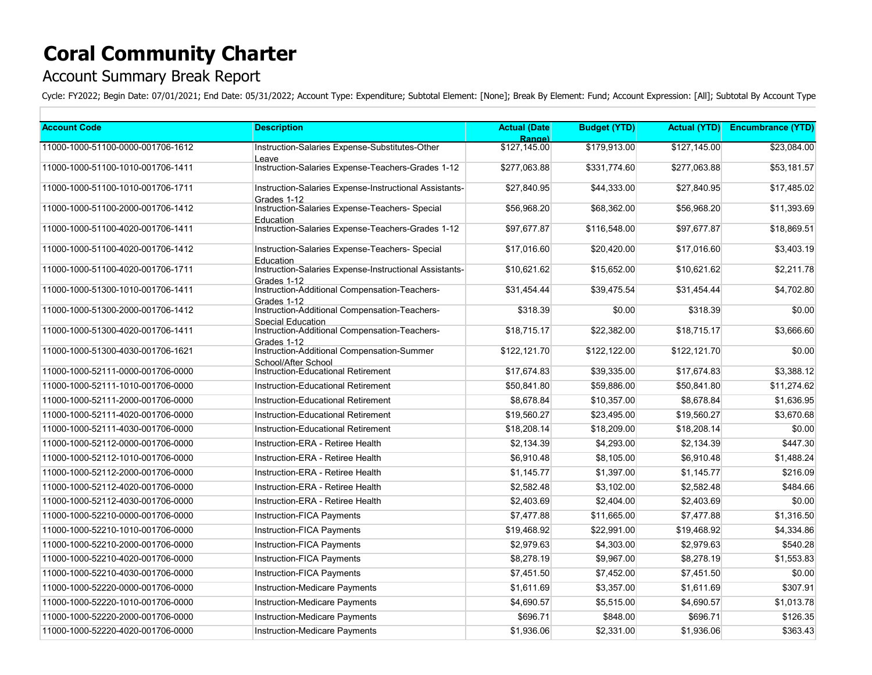## **Coral Community Charter**

## Account Summary Break Report

Cycle: FY2022; Begin Date: 07/01/2021; End Date: 05/31/2022; Account Type: Expenditure; Subtotal Element: [None]; Break By Element: Fund; Account Expression: [All]; Subtotal By Account Type

| <b>Account Code</b>               | <b>Description</b>                                                    | <b>Actual (Date)</b>   | <b>Budget (YTD)</b> | <b>Actual (YTD)</b> | <b>Encumbrance (YTD)</b> |
|-----------------------------------|-----------------------------------------------------------------------|------------------------|---------------------|---------------------|--------------------------|
| 11000-1000-51100-0000-001706-1612 | Instruction-Salaries Expense-Substitutes-Other                        | Range)<br>\$127,145.00 | \$179,913.00        | \$127.145.00        | \$23,084.00              |
|                                   | Leave                                                                 |                        |                     |                     |                          |
| 11000-1000-51100-1010-001706-1411 | Instruction-Salaries Expense-Teachers-Grades 1-12                     | \$277,063.88           | \$331.774.60        | \$277,063.88        | \$53,181.57              |
| 11000-1000-51100-1010-001706-1711 | Instruction-Salaries Expense-Instructional Assistants-<br>Grades 1-12 | \$27,840.95            | \$44,333.00         | \$27,840.95         | \$17,485.02              |
| 11000-1000-51100-2000-001706-1412 | Instruction-Salaries Expense-Teachers- Special<br>Education           | \$56,968.20            | \$68,362.00         | \$56,968.20         | \$11,393.69              |
| 11000-1000-51100-4020-001706-1411 | Instruction-Salaries Expense-Teachers-Grades 1-12                     | \$97.677.87            | \$116.548.00        | \$97.677.87         | \$18,869.51              |
| 11000-1000-51100-4020-001706-1412 | Instruction-Salaries Expense-Teachers- Special<br>Education           | \$17,016.60            | \$20,420.00         | \$17,016.60         | \$3,403.19               |
| 11000-1000-51100-4020-001706-1711 | Instruction-Salaries Expense-Instructional Assistants-<br>Grades 1-12 | \$10,621.62            | \$15,652.00         | \$10,621.62         | \$2,211.78               |
| 11000-1000-51300-1010-001706-1411 | Instruction-Additional Compensation-Teachers-<br>Grades 1-12          | \$31,454.44            | \$39,475.54         | \$31,454.44         | \$4,702.80               |
| 11000-1000-51300-2000-001706-1412 | Instruction-Additional Compensation-Teachers-<br>Special Education    | \$318.39               | \$0.00              | \$318.39            | \$0.00                   |
| 11000-1000-51300-4020-001706-1411 | Instruction-Additional Compensation-Teachers-<br>Grades 1-12          | \$18.715.17            | \$22,382.00         | \$18.715.17         | \$3,666.60               |
| 11000-1000-51300-4030-001706-1621 | Instruction-Additional Compensation-Summer<br>School/After School     | \$122,121.70           | \$122,122.00        | \$122,121.70        | \$0.00                   |
| 11000-1000-52111-0000-001706-0000 | Instruction-Educational Retirement                                    | \$17,674.83            | \$39,335.00         | \$17,674.83         | \$3,388.12               |
| 11000-1000-52111-1010-001706-0000 | Instruction-Educational Retirement                                    | \$50,841.80            | \$59,886.00         | \$50,841.80         | \$11,274.62              |
| 11000-1000-52111-2000-001706-0000 | Instruction-Educational Retirement                                    | \$8,678.84             | \$10,357.00         | \$8,678.84          | \$1,636.95               |
| 11000-1000-52111-4020-001706-0000 | Instruction-Educational Retirement                                    | \$19,560.27            | \$23,495.00         | \$19,560.27         | \$3,670.68               |
| 11000-1000-52111-4030-001706-0000 | Instruction-Educational Retirement                                    | \$18,208.14            | \$18,209.00         | \$18,208.14         | \$0.00                   |
| 11000-1000-52112-0000-001706-0000 | Instruction-ERA - Retiree Health                                      | \$2,134.39             | \$4,293.00          | \$2,134.39          | \$447.30                 |
| 11000-1000-52112-1010-001706-0000 | Instruction-ERA - Retiree Health                                      | \$6,910.48             | \$8,105.00          | \$6,910.48          | \$1,488.24               |
| 11000-1000-52112-2000-001706-0000 | Instruction-ERA - Retiree Health                                      | \$1,145.77             | \$1,397.00          | \$1,145.77          | \$216.09                 |
| 11000-1000-52112-4020-001706-0000 | Instruction-ERA - Retiree Health                                      | \$2,582.48             | \$3,102.00          | \$2,582.48          | \$484.66                 |
| 11000-1000-52112-4030-001706-0000 | Instruction-ERA - Retiree Health                                      | \$2,403.69             | \$2,404.00          | \$2,403.69          | \$0.00                   |
| 11000-1000-52210-0000-001706-0000 | Instruction-FICA Payments                                             | \$7,477.88             | \$11,665.00         | \$7,477.88          | \$1,316.50               |
| 11000-1000-52210-1010-001706-0000 | Instruction-FICA Payments                                             | \$19,468.92            | \$22,991.00         | \$19,468.92         | \$4,334.86               |
| 11000-1000-52210-2000-001706-0000 | Instruction-FICA Payments                                             | \$2,979.63             | \$4,303.00          | \$2,979.63          | \$540.28                 |
| 11000-1000-52210-4020-001706-0000 | Instruction-FICA Payments                                             | \$8,278.19             | \$9,967.00          | \$8,278.19          | \$1,553.83               |
| 11000-1000-52210-4030-001706-0000 | Instruction-FICA Payments                                             | \$7,451.50             | \$7,452.00          | \$7,451.50          | \$0.00                   |
| 11000-1000-52220-0000-001706-0000 | Instruction-Medicare Payments                                         | \$1,611.69             | \$3,357.00          | \$1,611.69          | \$307.91                 |
| 11000-1000-52220-1010-001706-0000 | <b>Instruction-Medicare Payments</b>                                  | \$4,690.57             | \$5,515.00          | \$4,690.57          | \$1,013.78               |
| 11000-1000-52220-2000-001706-0000 | Instruction-Medicare Payments                                         | \$696.71               | \$848.00            | \$696.71            | \$126.35                 |
| 11000-1000-52220-4020-001706-0000 | Instruction-Medicare Payments                                         | \$1,936.06             | \$2,331.00          | \$1,936.06          | \$363.43                 |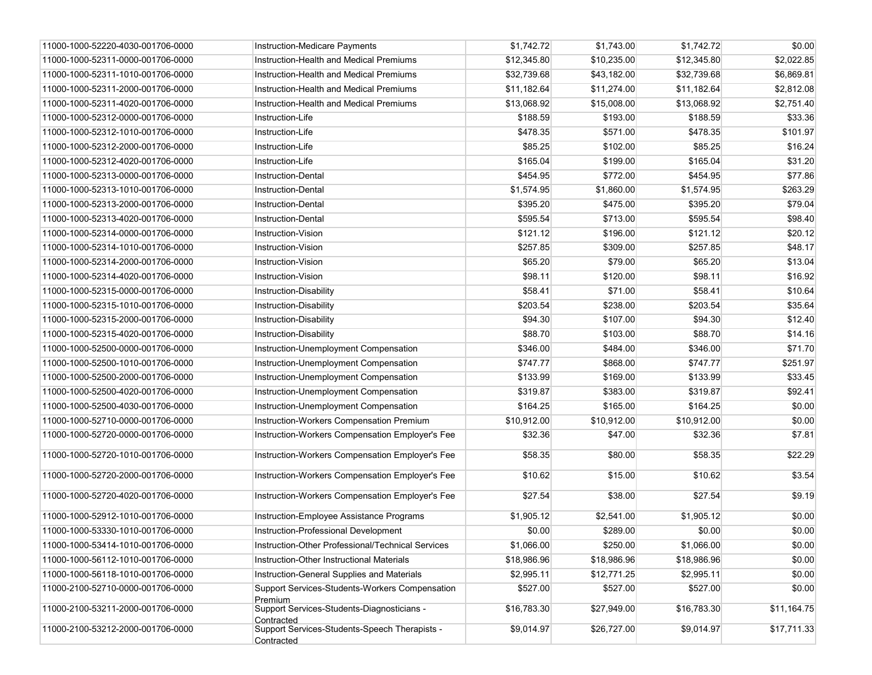| 11000-1000-52220-4030-001706-0000 | Instruction-Medicare Payments                               | \$1,742.72  | \$1,743.00  | \$1,742.72  | \$0.00      |
|-----------------------------------|-------------------------------------------------------------|-------------|-------------|-------------|-------------|
| 11000-1000-52311-0000-001706-0000 | Instruction-Health and Medical Premiums                     | \$12,345.80 | \$10,235.00 | \$12,345.80 | \$2,022.85  |
| 11000-1000-52311-1010-001706-0000 | Instruction-Health and Medical Premiums                     | \$32,739.68 | \$43,182.00 | \$32,739.68 | \$6,869.81  |
| 11000-1000-52311-2000-001706-0000 | Instruction-Health and Medical Premiums                     | \$11,182.64 | \$11,274.00 | \$11,182.64 | \$2,812.08  |
| 11000-1000-52311-4020-001706-0000 | Instruction-Health and Medical Premiums                     | \$13,068.92 | \$15,008.00 | \$13,068.92 | \$2,751.40  |
| 11000-1000-52312-0000-001706-0000 | Instruction-Life                                            | \$188.59    | \$193.00    | \$188.59    | \$33.36     |
| 11000-1000-52312-1010-001706-0000 | Instruction-Life                                            | \$478.35    | \$571.00    | \$478.35    | \$101.97    |
| 11000-1000-52312-2000-001706-0000 | Instruction-Life                                            | \$85.25     | \$102.00    | \$85.25     | \$16.24     |
| 11000-1000-52312-4020-001706-0000 | Instruction-Life                                            | \$165.04    | \$199.00    | \$165.04    | \$31.20     |
| 11000-1000-52313-0000-001706-0000 | <b>Instruction-Dental</b>                                   | \$454.95    | \$772.00    | \$454.95    | \$77.86     |
| 11000-1000-52313-1010-001706-0000 | <b>Instruction-Dental</b>                                   | \$1,574.95  | \$1,860.00  | \$1,574.95  | \$263.29    |
| 11000-1000-52313-2000-001706-0000 | <b>Instruction-Dental</b>                                   | \$395.20    | \$475.00    | \$395.20    | \$79.04     |
| 11000-1000-52313-4020-001706-0000 | <b>Instruction-Dental</b>                                   | \$595.54    | \$713.00    | \$595.54    | \$98.40     |
| 11000-1000-52314-0000-001706-0000 | Instruction-Vision                                          | \$121.12    | \$196.00    | \$121.12    | \$20.12     |
| 11000-1000-52314-1010-001706-0000 | Instruction-Vision                                          | \$257.85    | \$309.00    | \$257.85    | \$48.17     |
| 11000-1000-52314-2000-001706-0000 | Instruction-Vision                                          | \$65.20     | \$79.00     | \$65.20     | \$13.04     |
| 11000-1000-52314-4020-001706-0000 | Instruction-Vision                                          | \$98.11     | \$120.00    | \$98.11     | \$16.92     |
| 11000-1000-52315-0000-001706-0000 | Instruction-Disability                                      | \$58.41     | \$71.00     | \$58.41     | \$10.64     |
| 11000-1000-52315-1010-001706-0000 | Instruction-Disability                                      | \$203.54    | \$238.00    | \$203.54    | \$35.64     |
| 11000-1000-52315-2000-001706-0000 | Instruction-Disability                                      | \$94.30     | \$107.00    | \$94.30     | \$12.40     |
| 11000-1000-52315-4020-001706-0000 | Instruction-Disability                                      | \$88.70     | \$103.00    | \$88.70     | \$14.16     |
| 11000-1000-52500-0000-001706-0000 | Instruction-Unemployment Compensation                       | \$346.00    | \$484.00    | \$346.00    | \$71.70     |
| 11000-1000-52500-1010-001706-0000 | Instruction-Unemployment Compensation                       | \$747.77    | \$868.00    | \$747.77    | \$251.97    |
| 11000-1000-52500-2000-001706-0000 | Instruction-Unemployment Compensation                       | \$133.99    | \$169.00    | \$133.99    | \$33.45     |
| 11000-1000-52500-4020-001706-0000 | Instruction-Unemployment Compensation                       | \$319.87    | \$383.00    | \$319.87    | \$92.41     |
| 11000-1000-52500-4030-001706-0000 | Instruction-Unemployment Compensation                       | \$164.25    | \$165.00    | \$164.25    | \$0.00      |
| 11000-1000-52710-0000-001706-0000 | Instruction-Workers Compensation Premium                    | \$10,912.00 | \$10,912.00 | \$10,912.00 | \$0.00      |
| 11000-1000-52720-0000-001706-0000 | Instruction-Workers Compensation Employer's Fee             | \$32.36     | \$47.00     | \$32.36     | \$7.81      |
| 11000-1000-52720-1010-001706-0000 | Instruction-Workers Compensation Employer's Fee             | \$58.35     | \$80.00     | \$58.35     | \$22.29     |
| 11000-1000-52720-2000-001706-0000 | Instruction-Workers Compensation Employer's Fee             | \$10.62     | \$15.00     | \$10.62     | \$3.54      |
| 11000-1000-52720-4020-001706-0000 | Instruction-Workers Compensation Employer's Fee             | \$27.54     | \$38.00     | \$27.54     | \$9.19      |
| 11000-1000-52912-1010-001706-0000 | Instruction-Employee Assistance Programs                    | \$1,905.12  | \$2,541.00  | \$1,905.12  | \$0.00      |
| 11000-1000-53330-1010-001706-0000 | Instruction-Professional Development                        | \$0.00      | \$289.00    | \$0.00      | \$0.00      |
| 11000-1000-53414-1010-001706-0000 | Instruction-Other Professional/Technical Services           | \$1,066.00  | \$250.00    | \$1,066.00  | \$0.00      |
| 11000-1000-56112-1010-001706-0000 | Instruction-Other Instructional Materials                   | \$18,986.96 | \$18,986.96 | \$18,986.96 | \$0.00      |
| 11000-1000-56118-1010-001706-0000 | Instruction-General Supplies and Materials                  | \$2,995.11  | \$12,771.25 | \$2,995.11  | \$0.00      |
| 11000-2100-52710-0000-001706-0000 | Support Services-Students-Workers Compensation<br>Premium   | \$527.00    | \$527.00    | \$527.00    | \$0.00      |
| 11000-2100-53211-2000-001706-0000 | Support Services-Students-Diagnosticians -<br>Contracted    | \$16,783.30 | \$27,949.00 | \$16,783.30 | \$11,164.75 |
| 11000-2100-53212-2000-001706-0000 | Support Services-Students-Speech Therapists -<br>Contracted | \$9,014.97  | \$26,727.00 | \$9,014.97  | \$17,711.33 |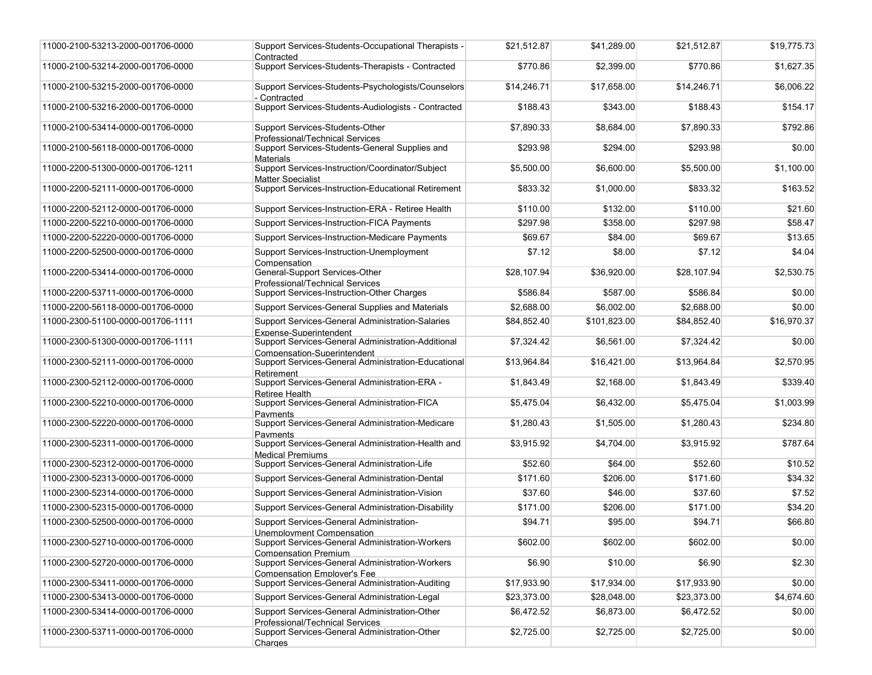| 11000-2100-53213-2000-001706-0000 | Support Services-Students-Occupational Therapists -<br>Contracted                     | \$21,512.87 | \$41,289.00  | \$21,512.87 | \$19,775.73 |
|-----------------------------------|---------------------------------------------------------------------------------------|-------------|--------------|-------------|-------------|
| 11000-2100-53214-2000-001706-0000 | Support Services-Students-Therapists - Contracted                                     | \$770.86    | \$2,399.00   | \$770.86    | \$1,627.35  |
| 11000-2100-53215-2000-001706-0000 | Support Services-Students-Psychologists/Counselors<br>- Contracted                    | \$14,246.71 | \$17,658.00  | \$14,246.71 | \$6,006.22  |
| 11000-2100-53216-2000-001706-0000 | Support Services-Students-Audiologists - Contracted                                   | \$188.43    | \$343.00     | \$188.43    | \$154.17    |
| 11000-2100-53414-0000-001706-0000 | Support Services-Students-Other<br>Professional/Technical Services                    | \$7,890.33  | \$8,684.00   | \$7,890.33  | \$792.86    |
| 11000-2100-56118-0000-001706-0000 | Support Services-Students-General Supplies and<br>Materials                           | \$293.98    | \$294.00     | \$293.98    | \$0.00      |
| 11000-2200-51300-0000-001706-1211 | Support Services-Instruction/Coordinator/Subject<br><b>Matter Specialist</b>          | \$5,500.00  | \$6,600.00   | \$5,500.00  | \$1,100.00  |
| 11000-2200-52111-0000-001706-0000 | Support Services-Instruction-Educational Retirement                                   | \$833.32    | \$1,000.00   | \$833.32    | \$163.52    |
| 11000-2200-52112-0000-001706-0000 | Support Services-Instruction-ERA - Retiree Health                                     | \$110.00    | \$132.00     | \$110.00    | \$21.60     |
| 11000-2200-52210-0000-001706-0000 | Support Services-Instruction-FICA Payments                                            | \$297.98    | \$358.00     | \$297.98    | \$58.47     |
| 11000-2200-52220-0000-001706-0000 | Support Services-Instruction-Medicare Payments                                        | \$69.67     | \$84.00      | \$69.67     | \$13.65     |
| 11000-2200-52500-0000-001706-0000 | Support Services-Instruction-Unemployment<br>Compensation                             | \$7.12      | \$8.00       | \$7.12      | \$4.04      |
| 11000-2200-53414-0000-001706-0000 | General-Support Services-Other<br>Professional/Technical Services                     | \$28,107.94 | \$36,920.00  | \$28,107.94 | \$2,530.75  |
| 11000-2200-53711-0000-001706-0000 | Support Services-Instruction-Other Charges                                            | \$586.84    | \$587.00     | \$586.84    | \$0.00      |
| 11000-2200-56118-0000-001706-0000 | Support Services-General Supplies and Materials                                       | \$2,688.00  | \$6,002.00   | \$2,688.00  | \$0.00      |
| 11000-2300-51100-0000-001706-1111 | Support Services-General Administration-Salaries<br>Expense-Superintendent            | \$84,852.40 | \$101,823.00 | \$84,852.40 | \$16,970.37 |
| 11000-2300-51300-0000-001706-1111 | Support Services-General Administration-Additional<br>Compensation-Superintendent     | \$7,324.42  | \$6,561.00   | \$7,324.42  | \$0.00      |
| 11000-2300-52111-0000-001706-0000 | Support Services-General Administration-Educational<br>Retirement                     | \$13,964.84 | \$16,421.00  | \$13,964.84 | \$2,570.95  |
| 11000-2300-52112-0000-001706-0000 | Support Services-General Administration-ERA -<br>Retiree Health                       | \$1,843.49  | \$2,168.00   | \$1,843.49  | \$339.40    |
| 11000-2300-52210-0000-001706-0000 | Support Services-General Administration-FICA<br>Payments                              | \$5,475.04  | \$6,432.00   | \$5,475.04  | \$1,003.99  |
| 11000-2300-52220-0000-001706-0000 | Support Services-General Administration-Medicare<br>Pavments                          | \$1,280.43  | \$1,505.00   | \$1,280.43  | \$234.80    |
| 11000-2300-52311-0000-001706-0000 | Support Services-General Administration-Health and<br><b>Medical Premiums</b>         | \$3,915.92  | \$4,704.00   | \$3,915.92  | \$787.64    |
| 11000-2300-52312-0000-001706-0000 | Support Services-General Administration-Life                                          | \$52.60     | \$64.00      | \$52.60     | \$10.52     |
| 11000-2300-52313-0000-001706-0000 | Support Services-General Administration-Dental                                        | \$171.60    | \$206.00     | \$171.60    | \$34.32     |
| 11000-2300-52314-0000-001706-0000 | Support Services-General Administration-Vision                                        | \$37.60     | \$46.00      | \$37.60     | \$7.52      |
| 11000-2300-52315-0000-001706-0000 | <b>Support Services-General Administration-Disability</b>                             | \$171.00    | \$206.00     | \$171.00    | \$34.20     |
| 11000-2300-52500-0000-001706-0000 | Support Services-General Administration-<br>Unemplovment Compensation                 | \$94.71     | \$95.00      | \$94.71     | \$66.80     |
| 11000-2300-52710-0000-001706-0000 | Support Services-General Administration-Workers<br><b>Compensation Premium</b>        | \$602.00    | \$602.00     | \$602.00    | \$0.00      |
| 11000-2300-52720-0000-001706-0000 | Support Services-General Administration-Workers<br><b>Compensation Employer's Fee</b> | \$6.90      | \$10.00      | \$6.90      | \$2.30      |
| 11000-2300-53411-0000-001706-0000 | Support Services-General Administration-Auditing                                      | \$17,933.90 | \$17,934.00  | \$17,933.90 | \$0.00      |
| 11000-2300-53413-0000-001706-0000 | Support Services-General Administration-Legal                                         | \$23,373.00 | \$28,048.00  | \$23,373.00 | \$4,674.60  |
| 11000-2300-53414-0000-001706-0000 | Support Services-General Administration-Other<br>Professional/Technical Services      | \$6,472.52  | \$6,873.00   | \$6,472.52  | \$0.00      |
| 11000-2300-53711-0000-001706-0000 | Support Services-General Administration-Other<br>Charges                              | \$2,725.00  | \$2,725.00   | \$2,725.00  | \$0.00      |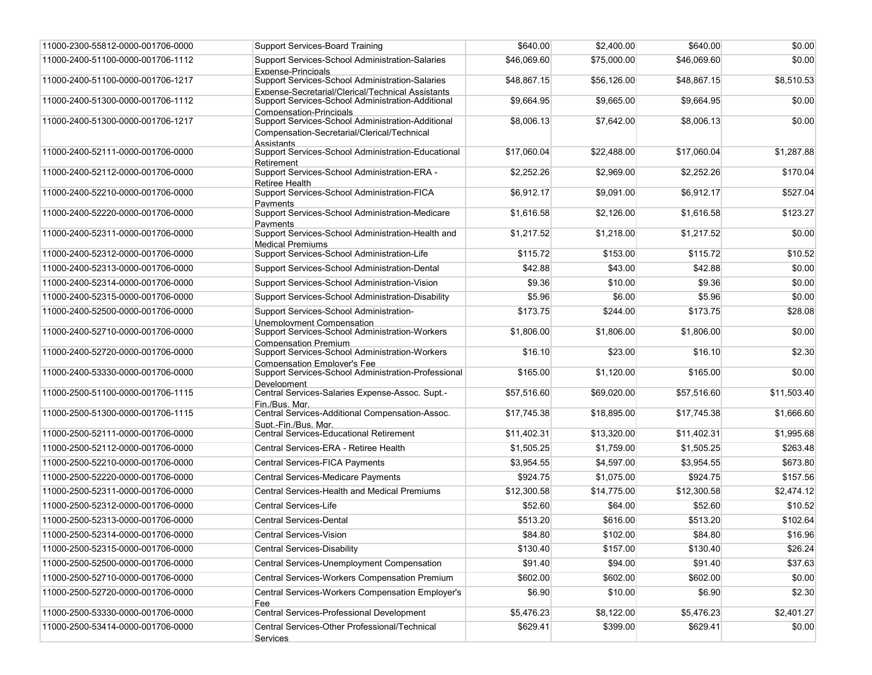| 11000-2300-55812-0000-001706-0000 | <b>Support Services-Board Training</b>                                                                                            | \$640.00    | \$2,400.00  | \$640.00    | \$0.00      |
|-----------------------------------|-----------------------------------------------------------------------------------------------------------------------------------|-------------|-------------|-------------|-------------|
| 11000-2400-51100-0000-001706-1112 | Support Services-School Administration-Salaries<br>Expense-Principals                                                             | \$46,069.60 | \$75,000.00 | \$46,069.60 | \$0.00      |
| 11000-2400-51100-0000-001706-1217 | Support Services-School Administration-Salaries                                                                                   | \$48,867.15 | \$56,126.00 | \$48,867.15 | \$8,510.53  |
| 11000-2400-51300-0000-001706-1112 | Expense-Secretarial/Clerical/Technical Assistants<br>Support Services-School Administration-Additional<br>Compensation-Principals | \$9,664.95  | \$9,665.00  | \$9,664.95  | \$0.00      |
| 11000-2400-51300-0000-001706-1217 | Support Services-School Administration-Additional<br>Compensation-Secretarial/Clerical/Technical<br><b>Assistants</b>             | \$8,006.13  | \$7,642.00  | \$8,006.13  | \$0.00      |
| 11000-2400-52111-0000-001706-0000 | Support Services-School Administration-Educational<br>Retirement                                                                  | \$17,060.04 | \$22,488.00 | \$17,060.04 | \$1,287.88  |
| 11000-2400-52112-0000-001706-0000 | Support Services-School Administration-ERA -<br>Retiree Health                                                                    | \$2.252.26  | \$2,969.00  | \$2,252.26  | \$170.04    |
| 11000-2400-52210-0000-001706-0000 | Support Services-School Administration-FICA<br>Pavments                                                                           | \$6,912.17  | \$9,091.00  | \$6,912.17  | \$527.04    |
| 11000-2400-52220-0000-001706-0000 | Support Services-School Administration-Medicare<br>Pavments                                                                       | \$1,616.58  | \$2,126.00  | \$1,616.58  | \$123.27    |
| 11000-2400-52311-0000-001706-0000 | Support Services-School Administration-Health and<br><b>Medical Premiums</b>                                                      | \$1,217.52  | \$1,218.00  | \$1,217.52  | \$0.00      |
| 11000-2400-52312-0000-001706-0000 | Support Services-School Administration-Life                                                                                       | \$115.72    | \$153.00    | \$115.72    | \$10.52     |
| 11000-2400-52313-0000-001706-0000 | Support Services-School Administration-Dental                                                                                     | \$42.88     | \$43.00     | \$42.88     | \$0.00      |
| 11000-2400-52314-0000-001706-0000 | Support Services-School Administration-Vision                                                                                     | \$9.36      | \$10.00     | \$9.36      | \$0.00      |
| 11000-2400-52315-0000-001706-0000 | Support Services-School Administration-Disability                                                                                 | \$5.96      | \$6.00      | \$5.96      | \$0.00      |
| 11000-2400-52500-0000-001706-0000 | Support Services-School Administration-                                                                                           | \$173.75    | \$244.00    | \$173.75    | \$28.08     |
|                                   | Unemplovment Compensation                                                                                                         |             |             |             |             |
| 11000-2400-52710-0000-001706-0000 | Support Services-School Administration-Workers<br><b>Compensation Premium</b>                                                     | \$1,806.00  | \$1,806.00  | \$1,806.00  | \$0.00      |
| 11000-2400-52720-0000-001706-0000 | Support Services-School Administration-Workers<br><b>Compensation Emplover's Fee</b>                                              | \$16.10     | \$23.00     | \$16.10     | \$2.30      |
| 11000-2400-53330-0000-001706-0000 | Support Services-School Administration-Professional<br>Development                                                                | \$165.00    | \$1,120.00  | \$165.00    | \$0.00      |
| 11000-2500-51100-0000-001706-1115 | Central Services-Salaries Expense-Assoc. Supt.-<br>Fin./Bus. Mar.                                                                 | \$57,516.60 | \$69,020.00 | \$57,516.60 | \$11,503.40 |
| 11000-2500-51300-0000-001706-1115 | Central Services-Additional Compensation-Assoc.<br>Supt.-Fin./Bus. Mar.                                                           | \$17,745.38 | \$18,895.00 | \$17,745.38 | \$1,666.60  |
| 11000-2500-52111-0000-001706-0000 | <b>Central Services-Educational Retirement</b>                                                                                    | \$11,402.31 | \$13,320.00 | \$11,402.31 | \$1,995.68  |
| 11000-2500-52112-0000-001706-0000 | Central Services-ERA - Retiree Health                                                                                             | \$1,505.25  | \$1,759.00  | \$1,505.25  | \$263.48    |
| 11000-2500-52210-0000-001706-0000 | <b>Central Services-FICA Payments</b>                                                                                             | \$3,954.55  | \$4,597.00  | \$3,954.55  | \$673.80    |
| 11000-2500-52220-0000-001706-0000 | Central Services-Medicare Payments                                                                                                | \$924.75    | \$1,075.00  | \$924.75    | \$157.56    |
| 11000-2500-52311-0000-001706-0000 | Central Services-Health and Medical Premiums                                                                                      | \$12,300.58 | \$14,775.00 | \$12,300.58 | \$2,474.12  |
| 11000-2500-52312-0000-001706-0000 | <b>Central Services-Life</b>                                                                                                      | \$52.60     | \$64.00     | \$52.60     | \$10.52     |
| 11000-2500-52313-0000-001706-0000 | Central Services-Dental                                                                                                           | \$513.20    | \$616.00    | \$513.20    | \$102.64    |
| 11000-2500-52314-0000-001706-0000 | <b>Central Services-Vision</b>                                                                                                    | \$84.80     | \$102.00    | \$84.80     | \$16.96     |
| 11000-2500-52315-0000-001706-0000 | <b>Central Services-Disability</b>                                                                                                | \$130.40    | \$157.00    | \$130.40    | \$26.24     |
| 11000-2500-52500-0000-001706-0000 | Central Services-Unemployment Compensation                                                                                        | \$91.40     | \$94.00     | \$91.40     | \$37.63     |
| 11000-2500-52710-0000-001706-0000 | Central Services-Workers Compensation Premium                                                                                     | \$602.00    | \$602.00    | \$602.00    | \$0.00      |
| 11000-2500-52720-0000-001706-0000 | Central Services-Workers Compensation Employer's                                                                                  | \$6.90      | \$10.00     | \$6.90      | \$2.30      |
|                                   | Fee                                                                                                                               |             |             |             |             |
| 11000-2500-53330-0000-001706-0000 | Central Services-Professional Development                                                                                         | \$5,476.23  | \$8,122.00  | \$5,476.23  | \$2,401.27  |
| 11000-2500-53414-0000-001706-0000 | Central Services-Other Professional/Technical<br>Services                                                                         | \$629.41    | \$399.00    | \$629.41    | \$0.00      |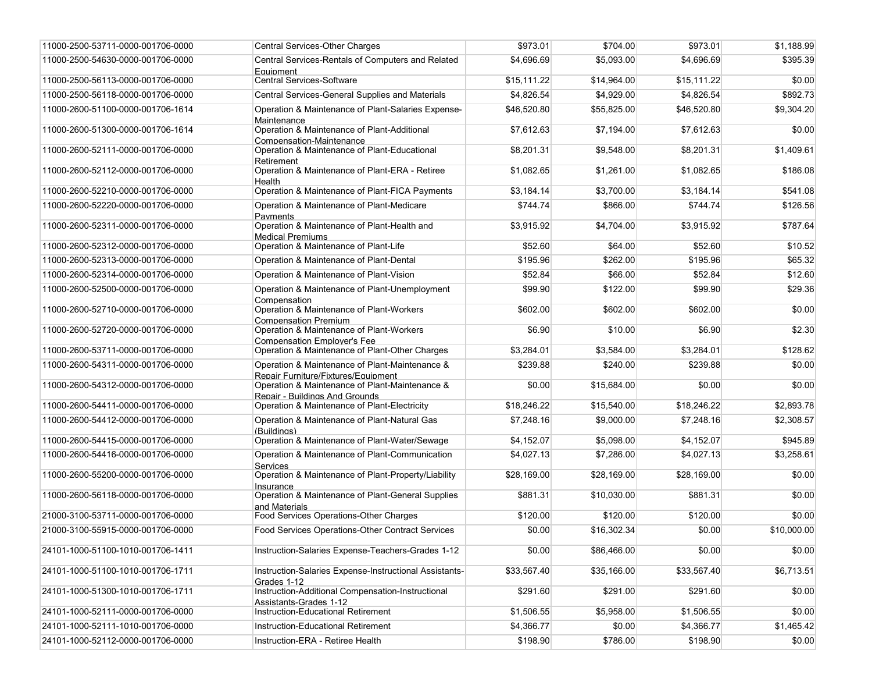| 11000-2500-53711-0000-001706-0000 | Central Services-Other Charges                                                        | \$973.01    | \$704.00    | \$973.01    | \$1,188.99  |
|-----------------------------------|---------------------------------------------------------------------------------------|-------------|-------------|-------------|-------------|
| 11000-2500-54630-0000-001706-0000 | Central Services-Rentals of Computers and Related<br>Equipment                        | \$4,696.69  | \$5,093.00  | \$4.696.69  | \$395.39    |
| 11000-2500-56113-0000-001706-0000 | Central Services-Software                                                             | \$15,111.22 | \$14.964.00 | \$15,111.22 | \$0.00      |
| 11000-2500-56118-0000-001706-0000 | Central Services-General Supplies and Materials                                       | \$4,826.54  | \$4,929.00  | \$4,826.54  | \$892.73    |
| 11000-2600-51100-0000-001706-1614 | Operation & Maintenance of Plant-Salaries Expense-<br>Maintenance                     | \$46,520.80 | \$55,825.00 | \$46,520.80 | \$9,304.20  |
| 11000-2600-51300-0000-001706-1614 | Operation & Maintenance of Plant-Additional<br>Compensation-Maintenance               | \$7,612.63  | \$7,194.00  | \$7,612.63  | \$0.00      |
| 11000-2600-52111-0000-001706-0000 | Operation & Maintenance of Plant-Educational<br>Retirement                            | \$8.201.31  | \$9,548.00  | \$8,201.31  | \$1,409.61  |
| 11000-2600-52112-0000-001706-0000 | Operation & Maintenance of Plant-ERA - Retiree<br>Health                              | \$1,082.65  | \$1,261.00  | \$1,082.65  | \$186.08    |
| 11000-2600-52210-0000-001706-0000 | Operation & Maintenance of Plant-FICA Payments                                        | \$3,184.14  | \$3,700.00  | \$3,184.14  | \$541.08    |
| 11000-2600-52220-0000-001706-0000 | Operation & Maintenance of Plant-Medicare<br>Pavments                                 | \$744.74    | \$866.00    | \$744.74    | \$126.56    |
| 11000-2600-52311-0000-001706-0000 | Operation & Maintenance of Plant-Health and<br><b>Medical Premiums</b>                | \$3,915.92  | \$4,704.00  | \$3,915.92  | \$787.64    |
| 11000-2600-52312-0000-001706-0000 | Operation & Maintenance of Plant-Life                                                 | \$52.60     | \$64.00     | \$52.60     | \$10.52     |
| 11000-2600-52313-0000-001706-0000 | Operation & Maintenance of Plant-Dental                                               | \$195.96    | \$262.00    | \$195.96    | \$65.32     |
| 11000-2600-52314-0000-001706-0000 | Operation & Maintenance of Plant-Vision                                               | \$52.84     | \$66.00     | \$52.84     | \$12.60     |
| 11000-2600-52500-0000-001706-0000 | Operation & Maintenance of Plant-Unemployment<br>Compensation                         | \$99.90     | \$122.00    | \$99.90     | \$29.36     |
| 11000-2600-52710-0000-001706-0000 | Operation & Maintenance of Plant-Workers<br><b>Compensation Premium</b>               | \$602.00    | \$602.00    | \$602.00    | \$0.00      |
| 11000-2600-52720-0000-001706-0000 | Operation & Maintenance of Plant-Workers<br><b>Compensation Emplover's Fee</b>        | \$6.90      | \$10.00     | \$6.90      | \$2.30      |
| 11000-2600-53711-0000-001706-0000 | Operation & Maintenance of Plant-Other Charges                                        | \$3,284.01  | \$3,584.00  | \$3,284.01  | \$128.62    |
| 11000-2600-54311-0000-001706-0000 | Operation & Maintenance of Plant-Maintenance &<br>Repair Furniture/Fixtures/Equipment | \$239.88    | \$240.00    | \$239.88    | \$0.00      |
| 11000-2600-54312-0000-001706-0000 | Operation & Maintenance of Plant-Maintenance &<br>Repair - Buildings And Grounds      | \$0.00      | \$15,684.00 | \$0.00      | \$0.00      |
| 11000-2600-54411-0000-001706-0000 | Operation & Maintenance of Plant-Electricity                                          | \$18,246.22 | \$15,540.00 | \$18,246.22 | \$2,893.78  |
| 11000-2600-54412-0000-001706-0000 | Operation & Maintenance of Plant-Natural Gas<br>(Buildinas)                           | \$7,248.16  | \$9,000.00  | \$7,248.16  | \$2,308.57  |
| 11000-2600-54415-0000-001706-0000 | Operation & Maintenance of Plant-Water/Sewage                                         | \$4,152.07  | \$5,098.00  | \$4,152.07  | \$945.89    |
| 11000-2600-54416-0000-001706-0000 | Operation & Maintenance of Plant-Communication<br>Services                            | \$4,027.13  | \$7,286.00  | \$4,027.13  | \$3,258.61  |
| 11000-2600-55200-0000-001706-0000 | Operation & Maintenance of Plant-Property/Liability<br>Insurance                      | \$28,169.00 | \$28,169.00 | \$28,169.00 | \$0.00      |
| 11000-2600-56118-0000-001706-0000 | Operation & Maintenance of Plant-General Supplies<br>and Materials                    | \$881.31    | \$10,030.00 | \$881.31    | \$0.00      |
| 21000-3100-53711-0000-001706-0000 | Food Services Operations-Other Charges                                                | \$120.00    | \$120.00    | \$120.00    | \$0.00      |
| 21000-3100-55915-0000-001706-0000 | Food Services Operations-Other Contract Services                                      | \$0.00      | \$16,302.34 | \$0.00      | \$10,000.00 |
| 24101-1000-51100-1010-001706-1411 | Instruction-Salaries Expense-Teachers-Grades 1-12                                     | \$0.00      | \$86,466.00 | \$0.00      | \$0.00      |
| 24101-1000-51100-1010-001706-1711 | Instruction-Salaries Expense-Instructional Assistants-<br>Grades 1-12                 | \$33,567.40 | \$35,166.00 | \$33,567.40 | \$6,713.51  |
| 24101-1000-51300-1010-001706-1711 | Instruction-Additional Compensation-Instructional<br>Assistants-Grades 1-12           | \$291.60    | \$291.00    | \$291.60    | \$0.00      |
| 24101-1000-52111-0000-001706-0000 | Instruction-Educational Retirement                                                    | \$1,506.55  | \$5,958.00  | \$1,506.55  | \$0.00      |
| 24101-1000-52111-1010-001706-0000 | Instruction-Educational Retirement                                                    | \$4,366.77  | \$0.00      | \$4,366.77  | \$1,465.42  |
| 24101-1000-52112-0000-001706-0000 | Instruction-ERA - Retiree Health                                                      | \$198.90    | \$786.00    | \$198.90    | \$0.00      |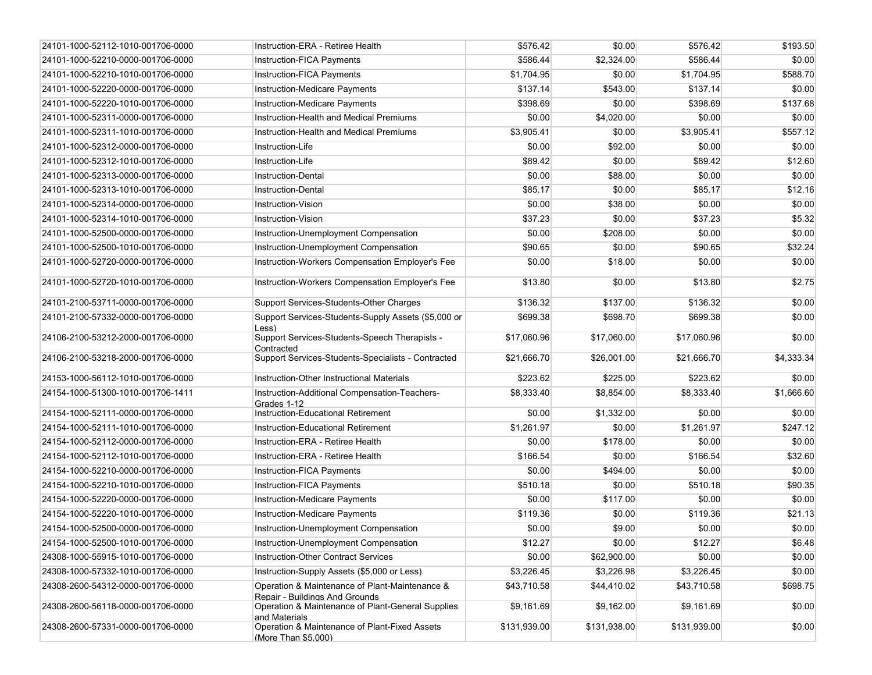| 24101-1000-52112-1010-001706-0000 | Instruction-ERA - Retiree Health                                                 | \$576.42     | \$0.00       | \$576.42     | \$193.50   |
|-----------------------------------|----------------------------------------------------------------------------------|--------------|--------------|--------------|------------|
| 24101-1000-52210-0000-001706-0000 | Instruction-FICA Payments                                                        | \$586.44     | \$2,324.00   | \$586.44     | \$0.00     |
| 24101-1000-52210-1010-001706-0000 | Instruction-FICA Payments                                                        | \$1,704.95   | \$0.00       | \$1.704.95   | \$588.70   |
| 24101-1000-52220-0000-001706-0000 | Instruction-Medicare Payments                                                    | \$137.14     | \$543.00     | \$137.14     | \$0.00     |
| 24101-1000-52220-1010-001706-0000 | Instruction-Medicare Payments                                                    | \$398.69     | \$0.00       | \$398.69     | \$137.68   |
| 24101-1000-52311-0000-001706-0000 | Instruction-Health and Medical Premiums                                          | \$0.00       | \$4,020.00   | \$0.00       | \$0.00     |
| 24101-1000-52311-1010-001706-0000 | Instruction-Health and Medical Premiums                                          | \$3,905.41   | \$0.00       | \$3,905.41   | \$557.12   |
| 24101-1000-52312-0000-001706-0000 | Instruction-Life                                                                 | \$0.00       | \$92.00      | \$0.00       | \$0.00     |
| 24101-1000-52312-1010-001706-0000 | Instruction-Life                                                                 | \$89.42      | \$0.00       | \$89.42      | \$12.60    |
| 24101-1000-52313-0000-001706-0000 | <b>Instruction-Dental</b>                                                        | \$0.00       | \$88.00      | \$0.00       | \$0.00     |
| 24101-1000-52313-1010-001706-0000 | Instruction-Dental                                                               | \$85.17      | \$0.00       | \$85.17      | \$12.16    |
| 24101-1000-52314-0000-001706-0000 | Instruction-Vision                                                               | \$0.00       | \$38.00      | \$0.00       | \$0.00     |
| 24101-1000-52314-1010-001706-0000 | Instruction-Vision                                                               | \$37.23      | \$0.00       | \$37.23      | \$5.32     |
| 24101-1000-52500-0000-001706-0000 | Instruction-Unemployment Compensation                                            | \$0.00       | \$208.00     | \$0.00       | \$0.00     |
| 24101-1000-52500-1010-001706-0000 | Instruction-Unemployment Compensation                                            | \$90.65      | \$0.00       | \$90.65      | \$32.24    |
| 24101-1000-52720-0000-001706-0000 | Instruction-Workers Compensation Employer's Fee                                  | \$0.00       | \$18.00      | \$0.00       | \$0.00     |
| 24101-1000-52720-1010-001706-0000 | Instruction-Workers Compensation Employer's Fee                                  | \$13.80      | \$0.00       | \$13.80      | \$2.75     |
| 24101-2100-53711-0000-001706-0000 | Support Services-Students-Other Charges                                          | \$136.32     | \$137.00     | \$136.32     | \$0.00     |
| 24101-2100-57332-0000-001706-0000 | Support Services-Students-Supply Assets (\$5,000 or<br>Less)                     | \$699.38     | \$698.70     | \$699.38     | \$0.00     |
| 24106-2100-53212-2000-001706-0000 | Support Services-Students-Speech Therapists -<br>Contracted                      | \$17.060.96  | \$17.060.00  | \$17,060.96  | \$0.00     |
| 24106-2100-53218-2000-001706-0000 | Support Services-Students-Specialists - Contracted                               | \$21,666.70  | \$26,001.00  | \$21,666.70  | \$4,333.34 |
| 24153-1000-56112-1010-001706-0000 | Instruction-Other Instructional Materials                                        | \$223.62     | \$225.00     | \$223.62     | \$0.00     |
| 24154-1000-51300-1010-001706-1411 | Instruction-Additional Compensation-Teachers-<br>Grades 1-12                     | \$8,333.40   | \$8,854.00   | \$8,333.40   | \$1,666.60 |
| 24154-1000-52111-0000-001706-0000 | Instruction-Educational Retirement                                               | \$0.00       | \$1,332.00   | \$0.00       | \$0.00     |
| 24154-1000-52111-1010-001706-0000 | Instruction-Educational Retirement                                               | \$1,261.97   | \$0.00       | \$1,261.97   | \$247.12   |
| 24154-1000-52112-0000-001706-0000 | Instruction-ERA - Retiree Health                                                 | \$0.00       | \$178.00     | \$0.00       | \$0.00     |
| 24154-1000-52112-1010-001706-0000 | Instruction-ERA - Retiree Health                                                 | \$166.54     | \$0.00       | \$166.54     | \$32.60    |
| 24154-1000-52210-0000-001706-0000 | Instruction-FICA Payments                                                        | \$0.00       | \$494.00     | \$0.00       | \$0.00     |
| 24154-1000-52210-1010-001706-0000 | Instruction-FICA Payments                                                        | \$510.18     | \$0.00       | \$510.18     | \$90.35    |
| 24154-1000-52220-0000-001706-0000 | Instruction-Medicare Payments                                                    | \$0.00       | \$117.00     | \$0.00       | \$0.00     |
| 24154-1000-52220-1010-001706-0000 | Instruction-Medicare Payments                                                    | \$119.36     | \$0.00       | \$119.36     | \$21.13    |
| 24154-1000-52500-0000-001706-0000 | Instruction-Unemployment Compensation                                            | \$0.00       | \$9.00       | \$0.00       | \$0.00     |
| 24154-1000-52500-1010-001706-0000 | Instruction-Unemployment Compensation                                            | \$12.27      | \$0.00       | \$12.27      | \$6.48     |
| 24308-1000-55915-1010-001706-0000 | <b>Instruction-Other Contract Services</b>                                       | \$0.00       | \$62,900.00  | \$0.00       | \$0.00     |
| 24308-1000-57332-1010-001706-0000 | Instruction-Supply Assets (\$5,000 or Less)                                      | \$3,226.45   | \$3,226.98   | \$3,226.45   | \$0.00     |
| 24308-2600-54312-0000-001706-0000 | Operation & Maintenance of Plant-Maintenance &<br>Repair - Buildings And Grounds | \$43,710.58  | \$44,410.02  | \$43,710.58  | \$698.75   |
| 24308-2600-56118-0000-001706-0000 | Operation & Maintenance of Plant-General Supplies<br>and Materials               | \$9,161.69   | \$9,162.00   | \$9,161.69   | \$0.00     |
| 24308-2600-57331-0000-001706-0000 | Operation & Maintenance of Plant-Fixed Assets<br>(More Than \$5.000)             | \$131,939.00 | \$131,938.00 | \$131,939.00 | \$0.00     |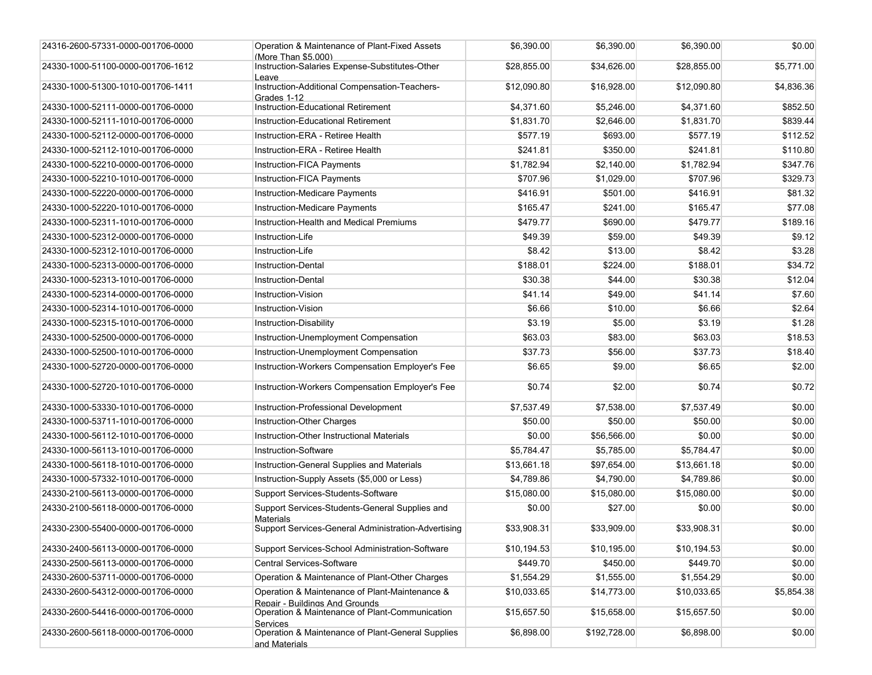| 24316-2600-57331-0000-001706-0000 | Operation & Maintenance of Plant-Fixed Assets<br>(More Than \$5.000)                                | \$6,390.00  | \$6,390.00   | \$6,390.00  | \$0.00     |
|-----------------------------------|-----------------------------------------------------------------------------------------------------|-------------|--------------|-------------|------------|
| 24330-1000-51100-0000-001706-1612 | Instruction-Salaries Expense-Substitutes-Other<br>Leave                                             | \$28,855.00 | \$34,626.00  | \$28,855.00 | \$5,771.00 |
| 24330-1000-51300-1010-001706-1411 | Instruction-Additional Compensation-Teachers-<br>Grades 1-12                                        | \$12,090.80 | \$16,928.00  | \$12,090.80 | \$4,836.36 |
| 24330-1000-52111-0000-001706-0000 | Instruction-Educational Retirement                                                                  | \$4,371.60  | \$5,246.00   | \$4,371.60  | \$852.50   |
| 24330-1000-52111-1010-001706-0000 | Instruction-Educational Retirement                                                                  | \$1,831.70  | \$2,646.00   | \$1,831.70  | \$839.44   |
| 24330-1000-52112-0000-001706-0000 | Instruction-ERA - Retiree Health                                                                    | \$577.19    | \$693.00     | \$577.19    | \$112.52   |
| 24330-1000-52112-1010-001706-0000 | Instruction-ERA - Retiree Health                                                                    | \$241.81    | \$350.00     | \$241.81    | \$110.80   |
| 24330-1000-52210-0000-001706-0000 | Instruction-FICA Payments                                                                           | \$1,782.94  | \$2,140.00   | \$1,782.94  | \$347.76   |
| 24330-1000-52210-1010-001706-0000 | Instruction-FICA Payments                                                                           | \$707.96    | \$1,029.00   | \$707.96    | \$329.73   |
| 24330-1000-52220-0000-001706-0000 | Instruction-Medicare Payments                                                                       | \$416.91    | \$501.00     | \$416.91    | \$81.32    |
| 24330-1000-52220-1010-001706-0000 | Instruction-Medicare Payments                                                                       | \$165.47    | \$241.00     | \$165.47    | \$77.08    |
| 24330-1000-52311-1010-001706-0000 | Instruction-Health and Medical Premiums                                                             | \$479.77    | \$690.00     | \$479.77    | \$189.16   |
| 24330-1000-52312-0000-001706-0000 | Instruction-Life                                                                                    | \$49.39     | \$59.00      | \$49.39     | \$9.12     |
| 24330-1000-52312-1010-001706-0000 | Instruction-Life                                                                                    | \$8.42      | \$13.00      | \$8.42      | \$3.28     |
| 24330-1000-52313-0000-001706-0000 | <b>Instruction-Dental</b>                                                                           | \$188.01    | \$224.00     | \$188.01    | \$34.72    |
| 24330-1000-52313-1010-001706-0000 | Instruction-Dental                                                                                  | \$30.38     | \$44.00      | \$30.38     | \$12.04    |
| 24330-1000-52314-0000-001706-0000 | Instruction-Vision                                                                                  | \$41.14     | \$49.00      | \$41.14     | \$7.60     |
| 24330-1000-52314-1010-001706-0000 | Instruction-Vision                                                                                  | \$6.66      | \$10.00      | \$6.66      | \$2.64     |
| 24330-1000-52315-1010-001706-0000 | Instruction-Disability                                                                              | \$3.19      | \$5.00       | \$3.19      | \$1.28     |
| 24330-1000-52500-0000-001706-0000 | Instruction-Unemployment Compensation                                                               | \$63.03     | \$83.00      | \$63.03     | \$18.53    |
| 24330-1000-52500-1010-001706-0000 | Instruction-Unemployment Compensation                                                               | \$37.73     | \$56.00      | \$37.73     | \$18.40    |
| 24330-1000-52720-0000-001706-0000 | Instruction-Workers Compensation Employer's Fee                                                     | \$6.65      | \$9.00       | \$6.65      | \$2.00     |
| 24330-1000-52720-1010-001706-0000 | Instruction-Workers Compensation Employer's Fee                                                     | \$0.74      | \$2.00       | \$0.74      | \$0.72     |
| 24330-1000-53330-1010-001706-0000 | Instruction-Professional Development                                                                | \$7,537.49  | \$7,538.00   | \$7,537.49  | \$0.00     |
| 24330-1000-53711-1010-001706-0000 | Instruction-Other Charges                                                                           | \$50.00     | \$50.00      | \$50.00     | \$0.00     |
| 24330-1000-56112-1010-001706-0000 | Instruction-Other Instructional Materials                                                           | \$0.00      | \$56,566.00  | \$0.00      | \$0.00     |
| 24330-1000-56113-1010-001706-0000 | Instruction-Software                                                                                | \$5,784.47  | \$5,785.00   | \$5,784.47  | \$0.00     |
| 24330-1000-56118-1010-001706-0000 | Instruction-General Supplies and Materials                                                          | \$13,661.18 | \$97,654.00  | \$13,661.18 | \$0.00     |
| 24330-1000-57332-1010-001706-0000 | Instruction-Supply Assets (\$5,000 or Less)                                                         | \$4,789.86  | \$4,790.00   | \$4,789.86  | \$0.00     |
| 24330-2100-56113-0000-001706-0000 | Support Services-Students-Software                                                                  | \$15,080.00 | \$15,080.00  | \$15,080.00 | \$0.00     |
| 24330-2100-56118-0000-001706-0000 | Support Services-Students-General Supplies and<br><b>Materials</b>                                  | \$0.00      | \$27.00      | \$0.00      | \$0.00     |
| 24330-2300-55400-0000-001706-0000 | Support Services-General Administration-Advertising                                                 | \$33,908.31 | \$33,909.00  | \$33,908.31 | \$0.00     |
| 24330-2400-56113-0000-001706-0000 | Support Services-School Administration-Software                                                     | \$10,194.53 | \$10,195.00  | \$10,194.53 | \$0.00     |
| 24330-2500-56113-0000-001706-0000 | Central Services-Software                                                                           | \$449.70    | \$450.00     | \$449.70    | \$0.00     |
| 24330-2600-53711-0000-001706-0000 | Operation & Maintenance of Plant-Other Charges                                                      | \$1,554.29  | \$1,555.00   | \$1,554.29  | \$0.00     |
| 24330-2600-54312-0000-001706-0000 | Operation & Maintenance of Plant-Maintenance &                                                      | \$10,033.65 | \$14,773.00  | \$10,033.65 | \$5,854.38 |
| 24330-2600-54416-0000-001706-0000 | Repair - Buildings And Grounds<br>Operation & Maintenance of Plant-Communication<br><b>Services</b> | \$15,657.50 | \$15,658.00  | \$15,657.50 | \$0.00     |
| 24330-2600-56118-0000-001706-0000 | Operation & Maintenance of Plant-General Supplies<br>and Materials                                  | \$6,898.00  | \$192,728.00 | \$6,898.00  | \$0.00     |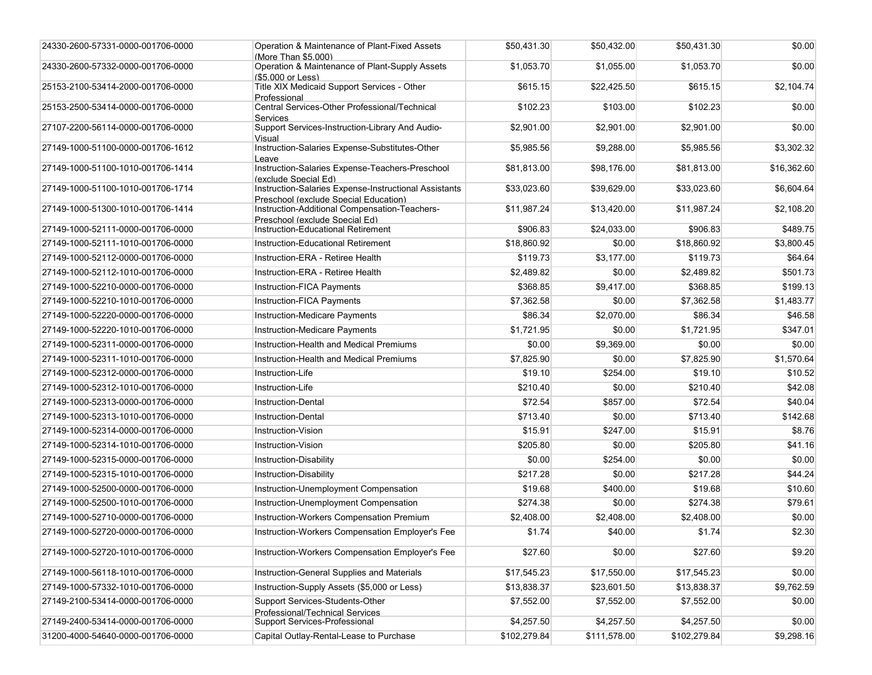| 24330-2600-57331-0000-001706-0000 | Operation & Maintenance of Plant-Fixed Assets<br>(More Than \$5.000)                   | \$50,431.30  | \$50,432.00  | \$50,431.30  | \$0.00      |
|-----------------------------------|----------------------------------------------------------------------------------------|--------------|--------------|--------------|-------------|
| 24330-2600-57332-0000-001706-0000 | Operation & Maintenance of Plant-Supply Assets<br>(\$5.000 or Less)                    | \$1,053.70   | \$1,055.00   | \$1,053.70   | \$0.00      |
| 25153-2100-53414-2000-001706-0000 | Title XIX Medicaid Support Services - Other<br>Professional                            | \$615.15     | \$22,425.50  | \$615.15     | \$2,104.74  |
| 25153-2500-53414-0000-001706-0000 | Central Services-Other Professional/Technical<br><b>Services</b>                       | \$102.23     | \$103.00     | \$102.23     | \$0.00      |
| 27107-2200-56114-0000-001706-0000 | Support Services-Instruction-Library And Audio-<br>Visual                              | \$2,901.00   | \$2,901.00   | \$2,901.00   | \$0.00      |
| 27149-1000-51100-0000-001706-1612 | Instruction-Salaries Expense-Substitutes-Other<br>Leave                                | \$5,985.56   | \$9,288.00   | \$5,985.56   | \$3,302.32  |
| 27149-1000-51100-1010-001706-1414 | Instruction-Salaries Expense-Teachers-Preschool<br>(exclude Special Ed)                | \$81,813.00  | \$98.176.00  | \$81,813.00  | \$16,362.60 |
| 27149-1000-51100-1010-001706-1714 | Instruction-Salaries Expense-Instructional Assistants                                  | \$33,023.60  | \$39,629.00  | \$33,023.60  | \$6,604.64  |
| 27149-1000-51300-1010-001706-1414 | Preschool (exclude Special Education)<br>Instruction-Additional Compensation-Teachers- | \$11,987.24  | \$13,420.00  | \$11,987.24  | \$2,108.20  |
| 27149-1000-52111-0000-001706-0000 | Preschool (exclude Special Ed)<br>Instruction-Educational Retirement                   | \$906.83     | \$24,033.00  | \$906.83     | \$489.75    |
| 27149-1000-52111-1010-001706-0000 | <b>Instruction-Educational Retirement</b>                                              | \$18,860.92  | \$0.00       | \$18,860.92  | \$3,800.45  |
| 27149-1000-52112-0000-001706-0000 | Instruction-ERA - Retiree Health                                                       | \$119.73     | \$3.177.00   | \$119.73     | \$64.64     |
| 27149-1000-52112-1010-001706-0000 | Instruction-ERA - Retiree Health                                                       | \$2,489.82   | \$0.00       | \$2,489.82   | \$501.73    |
| 27149-1000-52210-0000-001706-0000 | Instruction-FICA Payments                                                              | \$368.85     | \$9,417.00   | \$368.85     | \$199.13    |
| 27149-1000-52210-1010-001706-0000 | Instruction-FICA Payments                                                              | \$7,362.58   | \$0.00       | \$7,362.58   | \$1,483.77  |
| 27149-1000-52220-0000-001706-0000 | Instruction-Medicare Payments                                                          | \$86.34      | \$2,070.00   | \$86.34      | \$46.58     |
| 27149-1000-52220-1010-001706-0000 | Instruction-Medicare Payments                                                          | \$1,721.95   | \$0.00       | \$1,721.95   | \$347.01    |
| 27149-1000-52311-0000-001706-0000 | Instruction-Health and Medical Premiums                                                | \$0.00       | \$9,369.00   | \$0.00       | \$0.00      |
| 27149-1000-52311-1010-001706-0000 | Instruction-Health and Medical Premiums                                                | \$7,825.90   | \$0.00       | \$7,825.90   | \$1,570.64  |
| 27149-1000-52312-0000-001706-0000 | Instruction-Life                                                                       | \$19.10      | \$254.00     | \$19.10      | \$10.52     |
| 27149-1000-52312-1010-001706-0000 | Instruction-Life                                                                       | \$210.40     | \$0.00       | \$210.40     | \$42.08     |
| 27149-1000-52313-0000-001706-0000 | <b>Instruction-Dental</b>                                                              | \$72.54      | \$857.00     | \$72.54      | \$40.04     |
| 27149-1000-52313-1010-001706-0000 | <b>Instruction-Dental</b>                                                              | \$713.40     | \$0.00       | \$713.40     | \$142.68    |
| 27149-1000-52314-0000-001706-0000 | Instruction-Vision                                                                     | \$15.91      | \$247.00     | \$15.91      | \$8.76      |
| 27149-1000-52314-1010-001706-0000 | Instruction-Vision                                                                     | \$205.80     | \$0.00       | \$205.80     | \$41.16     |
| 27149-1000-52315-0000-001706-0000 | Instruction-Disability                                                                 | \$0.00       | \$254.00     | \$0.00       | \$0.00      |
| 27149-1000-52315-1010-001706-0000 | Instruction-Disability                                                                 | \$217.28     | \$0.00       | \$217.28     | \$44.24     |
| 27149-1000-52500-0000-001706-0000 | Instruction-Unemployment Compensation                                                  | \$19.68      | \$400.00     | \$19.68      | \$10.60     |
| 27149-1000-52500-1010-001706-0000 | Instruction-Unemployment Compensation                                                  | \$274.38     | \$0.00       | \$274.38     | \$79.61     |
| 27149-1000-52710-0000-001706-0000 | Instruction-Workers Compensation Premium                                               | \$2,408.00   | \$2,408.00   | \$2,408.00   | \$0.00      |
| 27149-1000-52720-0000-001706-0000 | Instruction-Workers Compensation Employer's Fee                                        | \$1.74       | \$40.00      | \$1.74       | \$2.30      |
| 27149-1000-52720-1010-001706-0000 | Instruction-Workers Compensation Employer's Fee                                        | \$27.60      | \$0.00       | \$27.60      | \$9.20      |
| 27149-1000-56118-1010-001706-0000 | Instruction-General Supplies and Materials                                             | \$17,545.23  | \$17,550.00  | \$17,545.23  | \$0.00      |
| 27149-1000-57332-1010-001706-0000 | Instruction-Supply Assets (\$5,000 or Less)                                            | \$13,838.37  | \$23,601.50  | \$13,838.37  | \$9,762.59  |
| 27149-2100-53414-0000-001706-0000 | Support Services-Students-Other<br>Professional/Technical Services                     | \$7,552.00   | \$7,552.00   | \$7,552.00   | \$0.00      |
| 27149-2400-53414-0000-001706-0000 | Support Services-Professional                                                          | \$4,257.50   | \$4,257.50   | \$4,257.50   | \$0.00      |
| 31200-4000-54640-0000-001706-0000 | Capital Outlay-Rental-Lease to Purchase                                                | \$102,279.84 | \$111,578.00 | \$102,279.84 | \$9,298.16  |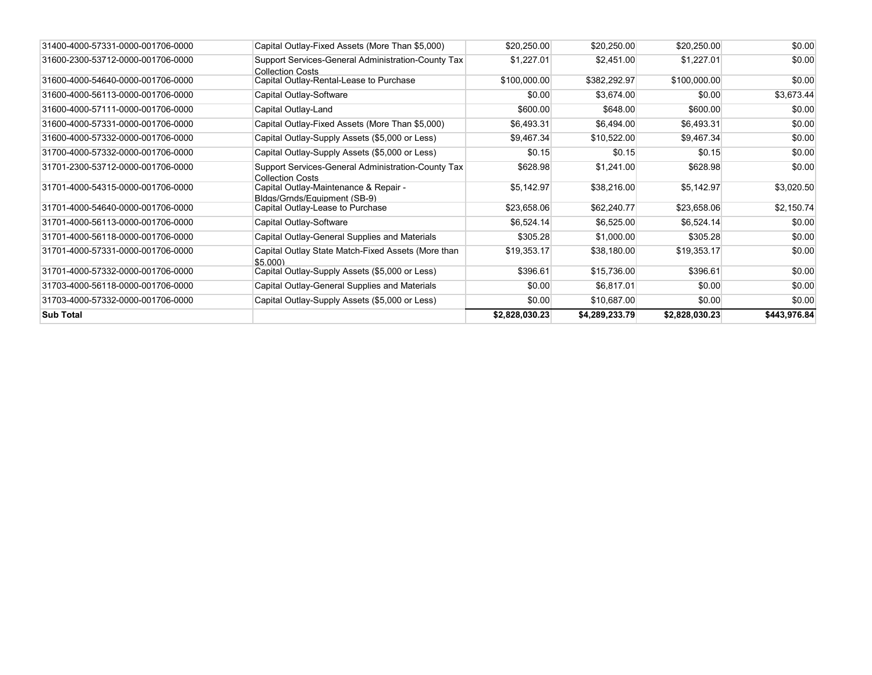| 31400-4000-57331-0000-001706-0000 | Capital Outlay-Fixed Assets (More Than \$5,000)                               | \$20,250.00    | \$20,250.00    | \$20,250.00    | \$0.00       |
|-----------------------------------|-------------------------------------------------------------------------------|----------------|----------------|----------------|--------------|
| 31600-2300-53712-0000-001706-0000 | Support Services-General Administration-County Tax<br><b>Collection Costs</b> | \$1,227.01     | \$2,451.00     | \$1,227.01     | \$0.00       |
| 31600-4000-54640-0000-001706-0000 | Capital Outlay-Rental-Lease to Purchase                                       | \$100,000.00   | \$382,292.97   | \$100,000.00   | \$0.00       |
| 31600-4000-56113-0000-001706-0000 | Capital Outlay-Software                                                       | \$0.00         | \$3,674.00     | \$0.00         | \$3,673.44   |
| 31600-4000-57111-0000-001706-0000 | Capital Outlay-Land                                                           | \$600.00       | \$648.00       | \$600.00       | \$0.00       |
| 31600-4000-57331-0000-001706-0000 | Capital Outlay-Fixed Assets (More Than \$5,000)                               | \$6,493.31     | \$6,494.00     | \$6,493.31     | \$0.00       |
| 31600-4000-57332-0000-001706-0000 | Capital Outlay-Supply Assets (\$5,000 or Less)                                | \$9,467.34     | \$10,522.00    | \$9,467.34     | \$0.00       |
| 31700-4000-57332-0000-001706-0000 | Capital Outlay-Supply Assets (\$5,000 or Less)                                | \$0.15         | \$0.15         | \$0.15         | \$0.00       |
| 31701-2300-53712-0000-001706-0000 | Support Services-General Administration-County Tax<br><b>Collection Costs</b> | \$628.98       | \$1,241.00     | \$628.98       | \$0.00       |
| 31701-4000-54315-0000-001706-0000 | Capital Outlay-Maintenance & Repair -<br>Bldas/Grnds/Eauipment (SB-9)         | \$5,142.97     | \$38,216.00    | \$5,142.97     | \$3,020.50   |
| 31701-4000-54640-0000-001706-0000 | Capital Outlay-Lease to Purchase                                              | \$23,658.06    | \$62,240.77    | \$23,658.06    | \$2,150.74   |
| 31701-4000-56113-0000-001706-0000 | Capital Outlay-Software                                                       | \$6,524.14     | \$6,525.00     | \$6,524.14     | \$0.00       |
| 31701-4000-56118-0000-001706-0000 | Capital Outlay-General Supplies and Materials                                 | \$305.28       | \$1,000.00     | \$305.28       | \$0.00       |
| 31701-4000-57331-0000-001706-0000 | Capital Outlay State Match-Fixed Assets (More than<br>\$5.000                 | \$19,353.17    | \$38,180.00    | \$19,353.17    | \$0.00       |
| 31701-4000-57332-0000-001706-0000 | Capital Outlay-Supply Assets (\$5,000 or Less)                                | \$396.61       | \$15,736.00    | \$396.61       | \$0.00       |
| 31703-4000-56118-0000-001706-0000 | Capital Outlay-General Supplies and Materials                                 | \$0.00         | \$6,817.01     | \$0.00         | \$0.00       |
| 31703-4000-57332-0000-001706-0000 | Capital Outlay-Supply Assets (\$5,000 or Less)                                | \$0.00         | \$10,687.00    | \$0.00         | \$0.00       |
| <b>Sub Total</b>                  |                                                                               | \$2,828,030.23 | \$4,289,233.79 | \$2,828,030.23 | \$443,976.84 |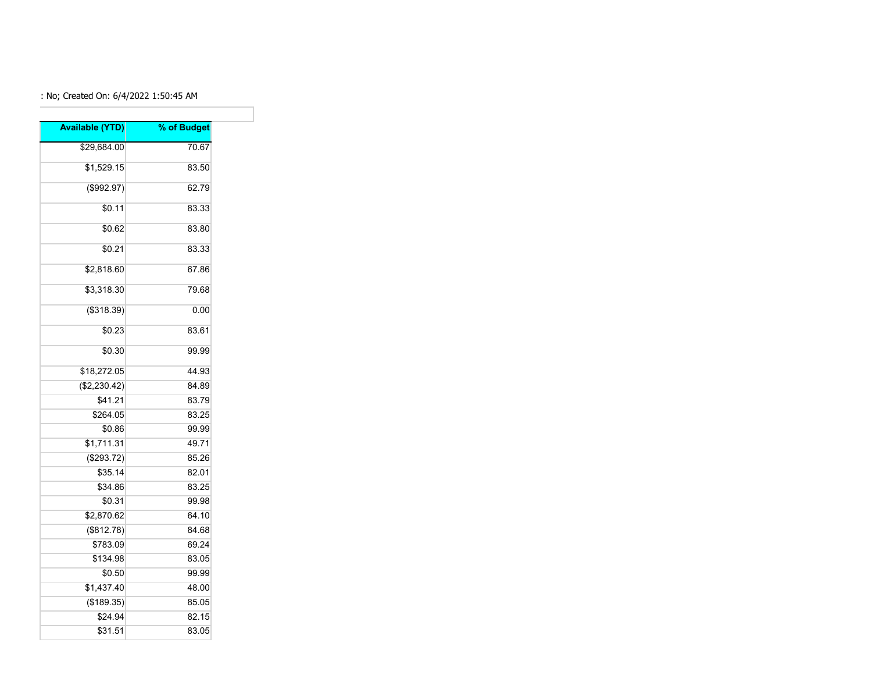## : No; Created On: 6/4/2022 1:50:45 AM

| <b>Available (YTD)</b> | % of Budget |
|------------------------|-------------|
| \$29,684.00            | 70.67       |
| \$1,529.15             | 83.50       |
|                        |             |
| (\$992.97)             | 62.79       |
| \$0.11                 | 83.33       |
| \$0.62                 | 83.80       |
| \$0.21                 | 83.33       |
| \$2,818.60             | 67.86       |
| \$3,318.30             | 79.68       |
| (\$318.39)             | 0.00        |
| \$0.23                 | 83.61       |
| \$0.30                 | 99.99       |
| \$18,272.05            | 44.93       |
| (\$2,230.42)           | 84.89       |
| \$41.21                | 83.79       |
| \$264.05               | 83.25       |
| \$0.86                 | 99.99       |
| \$1,711.31             | 49.71       |
| (\$293.72)             | 85.26       |
| \$35.14                | 82.01       |
| \$34.86                | 83.25       |
| \$0.31                 | 99.98       |
| \$2,870.62             | 64.10       |
| (\$812.78)             | 84.68       |
| \$783.09               | 69.24       |
| \$134.98               | 83.05       |
| \$0.50                 | 99.99       |
| \$1,437.40             | 48.00       |
| (\$189.35)             | 85.05       |
| \$24.94                | 82.15       |
| \$31.51                | 83.05       |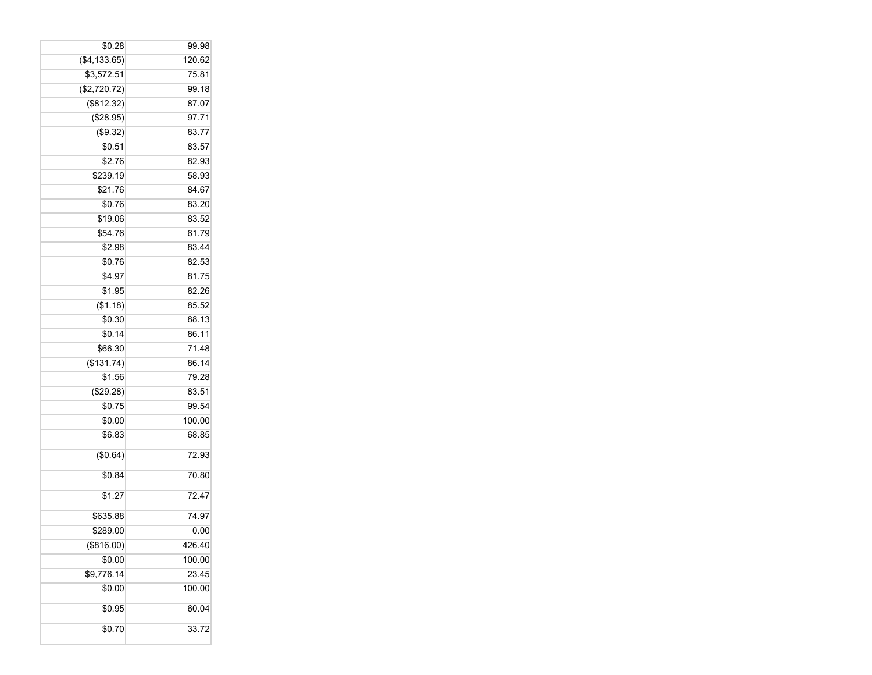| \$0.28        | 99.98  |
|---------------|--------|
| (\$4, 133.65) | 120.62 |
| \$3,572.51    | 75.81  |
| (\$2,720.72)  | 99.18  |
| (\$812.32)    | 87.07  |
| (\$28.95)     | 97.71  |
| (\$9.32)      | 83.77  |
| \$0.51        | 83.57  |
| \$2.76        | 82.93  |
| \$239.19      | 58.93  |
| \$21.76       | 84.67  |
| \$0.76        | 83.20  |
| \$19.06       | 83.52  |
| \$54.76       | 61.79  |
| \$2.98        | 83.44  |
| \$0.76        | 82.53  |
| \$4.97        | 81.75  |
| \$1.95        | 82.26  |
| (\$1.18)      | 85.52  |
| \$0.30        | 88.13  |
| \$0.14        | 86.11  |
| \$66.30       | 71.48  |
| (\$131.74)    | 86.14  |
| \$1.56        | 79.28  |
| (\$29.28)     | 83.51  |
| \$0.75        | 99.54  |
| \$0.00        | 100.00 |
| \$6.83        | 68.85  |
| (\$0.64)      | 72.93  |
| \$0.84        | 70.80  |
| \$1.27        | 72.47  |
| \$635.88      | 74.97  |
| \$289.00      | 0.00   |
| (\$816.00)    | 426.40 |
| \$0.00        | 100.00 |
| \$9,776.14    | 23.45  |
| \$0.00        | 100.00 |
| \$0.95        | 60.04  |
| \$0.70        | 33.72  |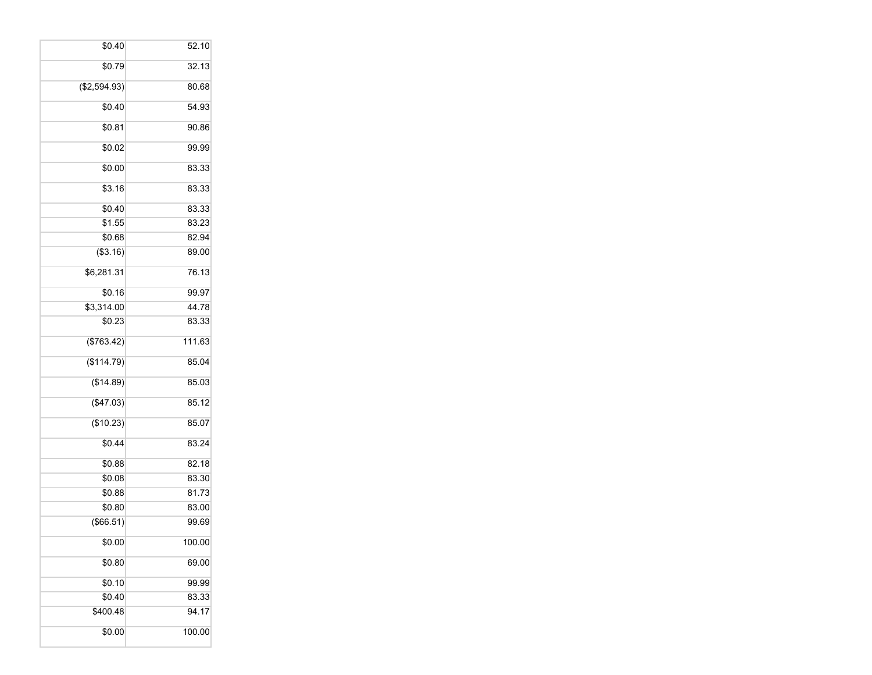| \$0.40       | 52.10  |
|--------------|--------|
| \$0.79       | 32.13  |
| (\$2,594.93) | 80.68  |
| \$0.40       | 54.93  |
| \$0.81       | 90.86  |
| \$0.02       | 99.99  |
| \$0.00       | 83.33  |
| \$3.16       | 83.33  |
| \$0.40       | 83.33  |
| \$1.55       | 83.23  |
| \$0.68       | 82.94  |
| (\$3.16)     | 89.00  |
| \$6,281.31   | 76.13  |
| \$0.16       | 99.97  |
| \$3,314.00   | 44.78  |
| \$0.23       | 83.33  |
| (\$763.42)   | 111.63 |
| (\$114.79)   | 85.04  |
| (\$14.89)    | 85.03  |
| (\$47.03)    | 85.12  |
| (\$10.23)    | 85.07  |
| \$0.44       | 83.24  |
| \$0.88       | 82.18  |
| \$0.08       | 83.30  |
| \$0.88       | 81.73  |
| \$0.80       | 83.00  |
| (\$66.51)    | 99.69  |
| \$0.00       | 100.00 |
| \$0.80       | 69.00  |
| \$0.10       | 99.99  |
| \$0.40       | 83.33  |
| \$400.48     | 94.17  |
| \$0.00       | 100.00 |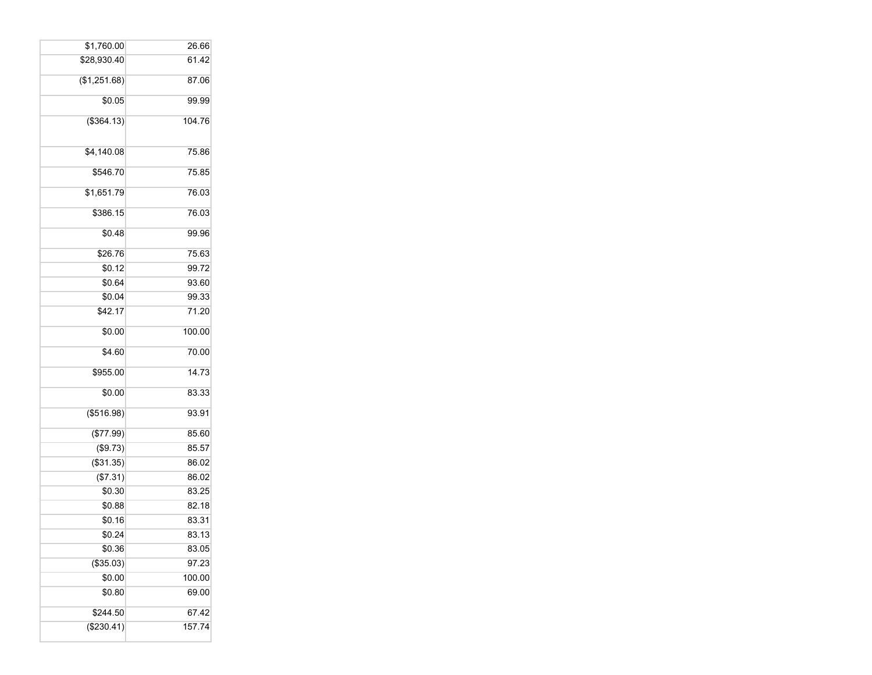| \$1,760.00             | 26.66  |
|------------------------|--------|
| \$28,930.40            | 61.42  |
| (\$1,251.68)           | 87.06  |
| \$0.05                 | 99.99  |
| (\$364.13)             | 104.76 |
| \$4,140.08             | 75.86  |
| \$546.70               | 75.85  |
| $\overline{$1,651.79}$ | 76.03  |
| \$386.15               | 76.03  |
| \$0.48                 | 99.96  |
| \$26.76                | 75.63  |
| \$0.12                 | 99.72  |
| \$0.64                 | 93.60  |
| \$0.04                 | 99.33  |
| \$42.17                | 71.20  |
| \$0.00                 | 100.00 |
| $\overline{$4.60}$     | 70.00  |
| \$955.00               | 14.73  |
| \$0.00                 | 83.33  |
| (\$516.98)             | 93.91  |
| (\$77.99)              | 85.60  |
| $($ \$9.73)            | 85.57  |
| (\$31.35)              | 86.02  |
| (\$7.31)               | 86.02  |
| \$0.30                 | 83.25  |
| \$0.88                 | 82.18  |
| \$0.16                 | 83.31  |
| \$0.24                 | 83.13  |
| \$0.36                 | 83.05  |
| (\$35.03)              | 97.23  |
| \$0.00                 | 100.00 |
| \$0.80                 | 69.00  |
| \$244.50               | 67.42  |
| (\$230.41)             | 157.74 |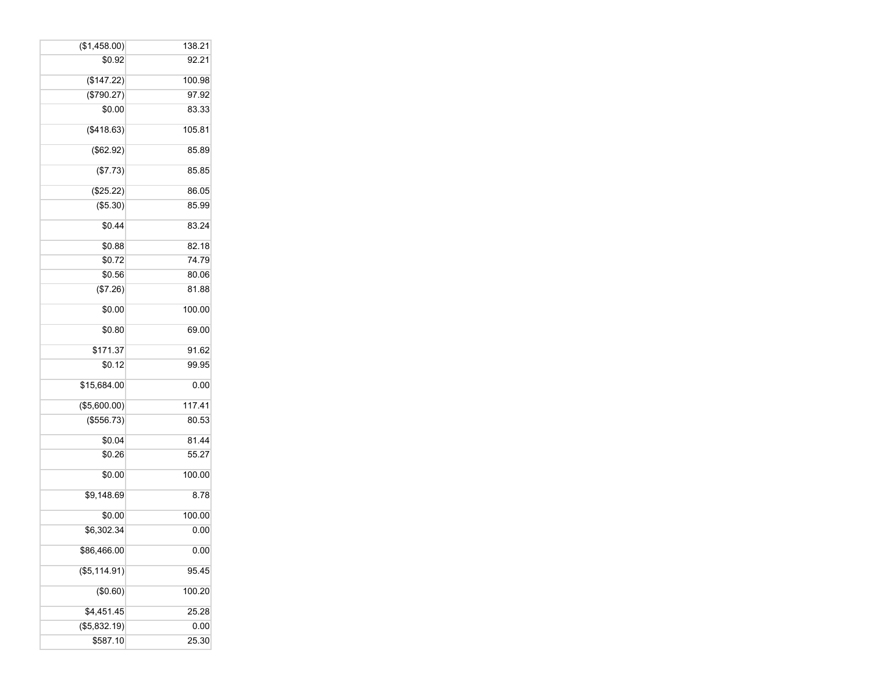| (\$1,458.00)  | 138.21 |
|---------------|--------|
| \$0.92        | 92.21  |
| (\$147.22)    | 100.98 |
| (\$790.27)    | 97.92  |
| \$0.00        | 83.33  |
| ( \$418.63)   | 105.81 |
| (\$62.92)     | 85.89  |
| (\$7.73)      | 85.85  |
| (\$25.22)     | 86.05  |
| (\$5.30)      | 85.99  |
| \$0.44        | 83.24  |
| \$0.88        | 82.18  |
| \$0.72        | 74.79  |
| \$0.56        | 80.06  |
| (\$7.26)      | 81.88  |
| \$0.00        | 100.00 |
| \$0.80        | 69.00  |
| \$171.37      | 91.62  |
| \$0.12        | 99.95  |
| \$15,684.00   | 0.00   |
| (\$5,600.00)  | 117.41 |
| (\$556.73)    | 80.53  |
| \$0.04        | 81.44  |
| \$0.26        | 55.27  |
| \$0.00        | 100.00 |
| \$9,148.69    | 8.78   |
| \$0.00        | 100.00 |
| \$6.302.34    | 0.00   |
| \$86,466.00   | 0.00   |
| (\$5, 114.91) | 95.45  |
| (\$0.60)      | 100.20 |
| \$4,451.45    | 25.28  |
| (\$5,832.19)  | 0.00   |
| \$587.10      | 25.30  |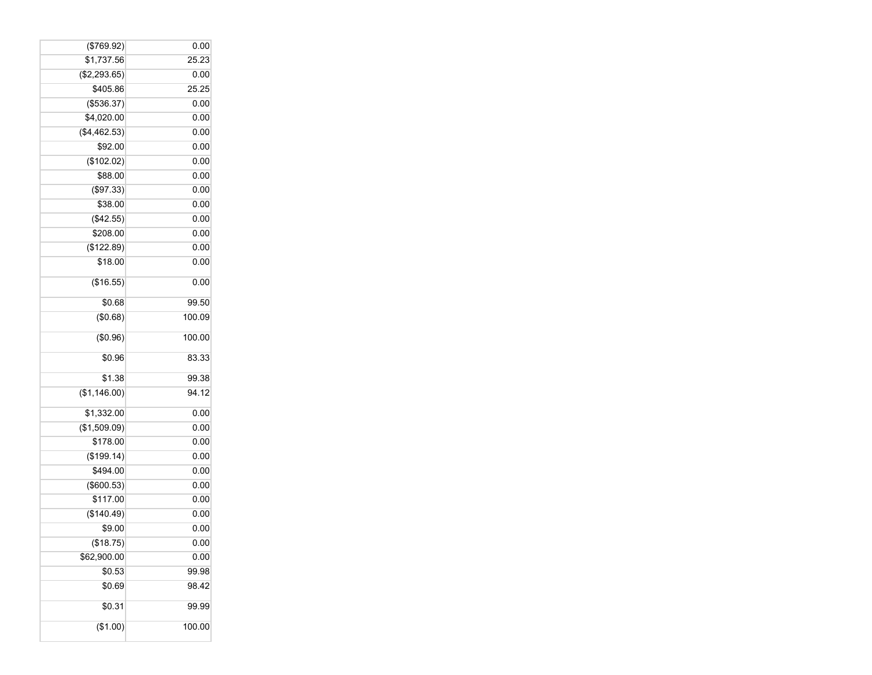| (\$769.92)   | 0.00   |
|--------------|--------|
| \$1,737.56   | 25.23  |
| (\$2,293.65) | 0.00   |
| \$405.86     | 25.25  |
| (\$536.37)   | 0.00   |
| \$4,020.00   | 0.00   |
| (\$4,462.53) | 0.00   |
| \$92.00      | 0.00   |
| (\$102.02)   | 0.00   |
| \$88.00      | 0.00   |
| (\$97.33)    | 0.00   |
| \$38.00      | 0.00   |
| (\$42.55)    | 0.00   |
| \$208.00     | 0.00   |
| (\$122.89)   | 0.00   |
| \$18.00      | 0.00   |
| (\$16.55)    | 0.00   |
| \$0.68       | 99.50  |
| (\$0.68)     | 100.09 |
| (\$0.96)     | 100.00 |
| \$0.96       | 83.33  |
| \$1.38       | 99.38  |
| (\$1,146.00) | 94.12  |
| \$1,332.00   | 0.00   |
| (\$1,509.09) | 0.00   |
| \$178.00     | 0.00   |
| (\$199.14)   | 0.00   |
| \$494.00     | 0.00   |
| (\$600.53)   | 0.00   |
| \$117.00     | 0.00   |
| (\$140.49)   | 0.00   |
| \$9.00       | 0.00   |
| (\$18.75)    | 0.00   |
| \$62,900.00  | 0.00   |
| \$0.53       | 99.98  |
| \$0.69       | 98.42  |
| \$0.31       | 99.99  |
| (\$1.00)     | 100.00 |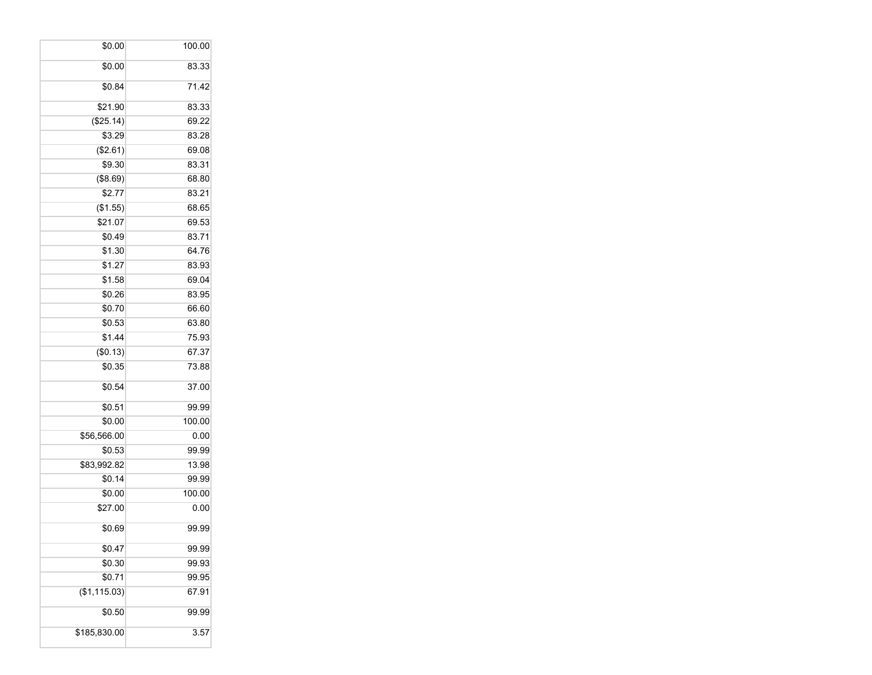| \$0.00       | 100.00 |
|--------------|--------|
| \$0.00       | 83.33  |
| \$0.84       | 71.42  |
| \$21.90      | 83.33  |
| (\$25.14)    | 69.22  |
| \$3.29       | 83.28  |
| (\$2.61)     | 69.08  |
| \$9.30       | 83.31  |
| (\$8.69)     | 68.80  |
| \$2.77       | 83.21  |
| (\$1.55)     | 68.65  |
| \$21.07      | 69.53  |
| \$0.49       | 83.71  |
| \$1.30       | 64.76  |
| \$1.27       | 83.93  |
| \$1.58       | 69.04  |
| \$0.26       | 83.95  |
| \$0.70       | 66.60  |
| \$0.53       | 63.80  |
| \$1.44       | 75.93  |
| (\$0.13)     | 67.37  |
| \$0.35       | 73.88  |
| \$0.54       | 37.00  |
| \$0.51       | 99.99  |
| \$0.00       | 100.00 |
| \$56,566.00  | 0.00   |
| \$0.53       | 99.99  |
| \$83,992.82  | 13.98  |
| \$0.14       | 99.99  |
| \$0.00       | 100.00 |
| \$27.00      | 0.00   |
| \$0.69       | 99.99  |
| \$0.47       | 99.99  |
| \$0.30       | 99.93  |
| \$0.71       | 99.95  |
| (\$1,115.03) | 67.91  |
| \$0.50       | 99.99  |
| \$185,830.00 | 3.57   |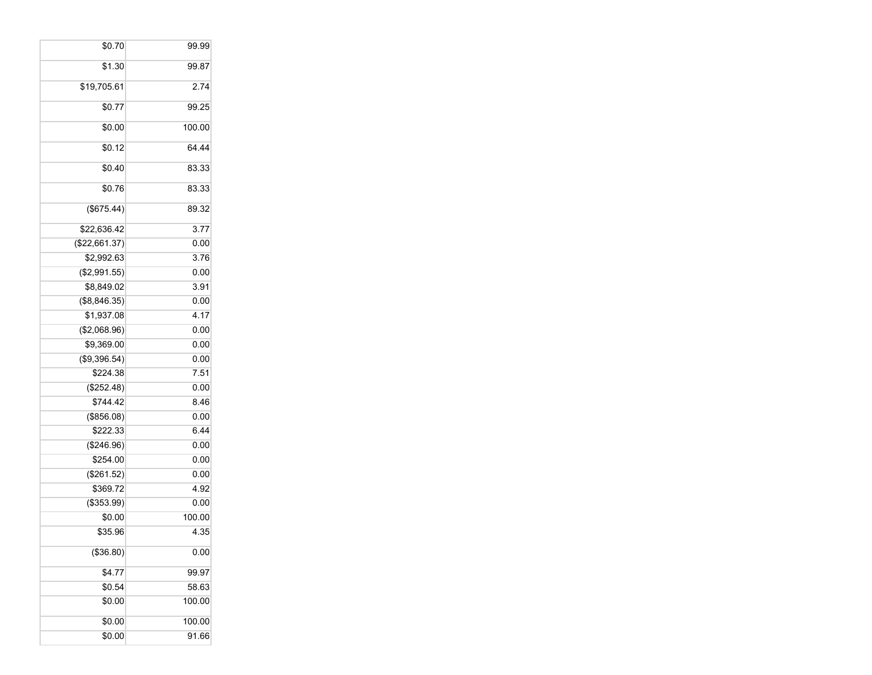| \$0.70        | 99.99  |
|---------------|--------|
| \$1.30        | 99.87  |
| \$19,705.61   | 2.74   |
| \$0.77        | 99.25  |
| \$0.00        | 100.00 |
| \$0.12        | 64.44  |
| \$0.40        | 83.33  |
| \$0.76        | 83.33  |
| (\$675.44)    | 89.32  |
| \$22,636.42   | 3.77   |
| (\$22,661.37) | 0.00   |
| \$2,992.63    | 3.76   |
| (\$2,991.55)  | 0.00   |
| \$8,849.02    | 3.91   |
| (\$8,846.35)  | 0.00   |
| \$1,937.08    | 4.17   |
| (\$2,068.96)  | 0.00   |
| \$9,369.00    | 0.00   |
| (\$9,396.54)  | 0.00   |
| \$224.38      | 7.51   |
| (\$252.48)    | 0.00   |
| \$744.42      | 8.46   |
| (\$856.08)    | 0.00   |
| \$222.33      | 6.44   |
| (\$246.96)    | 0.00   |
| \$254.00      | 0.00   |
| (\$261.52)    | 0.00   |
| \$369.72      | 4.92   |
| (\$353.99)    | 0.00   |
| \$0.00        | 100.00 |
| \$35.96       | 4.35   |
| (\$36.80)     | 0.00   |
| \$4.77        | 99.97  |
| \$0.54        | 58.63  |
| \$0.00        | 100.00 |
| \$0.00        | 100.00 |
| \$0.00        | 91.66  |